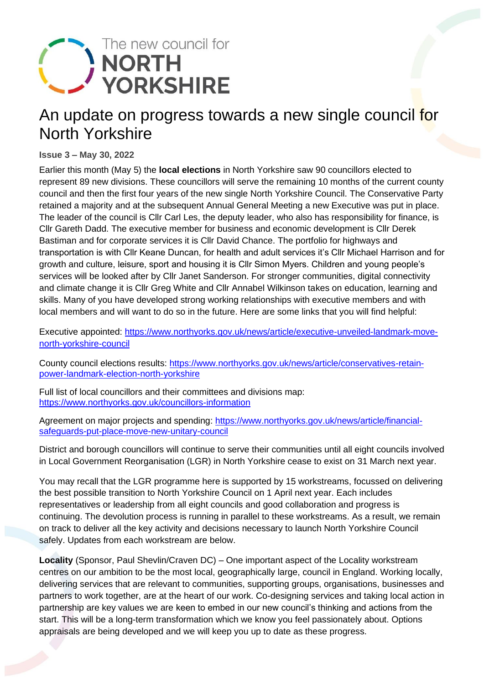

## An update on progress towards a new single council for North Yorkshire

**Issue 3 – May 30, 2022**

Earlier this month (May 5) the **local elections** in North Yorkshire saw 90 councillors elected to represent 89 new divisions. These councillors will serve the remaining 10 months of the current county council and then the first four years of the new single North Yorkshire Council. The Conservative Party retained a majority and at the subsequent Annual General Meeting a new Executive was put in place. The leader of the council is Cllr Carl Les, the deputy leader, who also has responsibility for finance, is Cllr Gareth Dadd. The executive member for business and economic development is Cllr Derek Bastiman and for corporate services it is Cllr David Chance. The portfolio for highways and transportation is with Cllr Keane Duncan, for health and adult services it's Cllr Michael Harrison and for growth and culture, leisure, sport and housing it is Cllr Simon Myers. Children and young people's services will be looked after by Cllr Janet Sanderson. For stronger communities, digital connectivity and climate change it is Cllr Greg White and Cllr Annabel Wilkinson takes on education, learning and skills. Many of you have developed strong working relationships with executive members and with local members and will want to do so in the future. Here are some links that you will find helpful:

Executive appointed: [https://www.northyorks.gov.uk/news/article/executive-unveiled-landmark-move](https://www.northyorks.gov.uk/news/article/executive-unveiled-landmark-move-north-yorkshire-council)[north-yorkshire-council](https://www.northyorks.gov.uk/news/article/executive-unveiled-landmark-move-north-yorkshire-council)

County council elections results: [https://www.northyorks.gov.uk/news/article/conservatives-retain](https://www.northyorks.gov.uk/news/article/conservatives-retain-power-landmark-election-north-yorkshire)[power-landmark-election-north-yorkshire](https://www.northyorks.gov.uk/news/article/conservatives-retain-power-landmark-election-north-yorkshire)

Full list of local councillors and their committees and divisions map: <https://www.northyorks.gov.uk/councillors-information>

Agreement on major projects and spending: [https://www.northyorks.gov.uk/news/article/financial](https://www.northyorks.gov.uk/news/article/financial-safeguards-put-place-move-new-unitary-council)[safeguards-put-place-move-new-unitary-council](https://www.northyorks.gov.uk/news/article/financial-safeguards-put-place-move-new-unitary-council)

District and borough councillors will continue to serve their communities until all eight councils involved in Local Government Reorganisation (LGR) in North Yorkshire cease to exist on 31 March next year.

You may recall that the LGR programme here is supported by 15 workstreams, focussed on delivering the best possible transition to North Yorkshire Council on 1 April next year. Each includes representatives or leadership from all eight councils and good collaboration and progress is continuing. The devolution process is running in parallel to these workstreams. As a result, we remain on track to deliver all the key activity and decisions necessary to launch North Yorkshire Council safely. Updates from each workstream are below.

**Locality** (Sponsor, Paul Shevlin/Craven DC) – One important aspect of the Locality workstream centres on our ambition to be the most local, geographically large, council in England. Working locally, delivering services that are relevant to communities, supporting groups, organisations, businesses and partners to work together, are at the heart of our work. Co-designing services and taking local action in partnership are key values we are keen to embed in our new council's thinking and actions from the start. This will be a long-term transformation which we know you feel passionately about. Options appraisals are being developed and we will keep you up to date as these progress.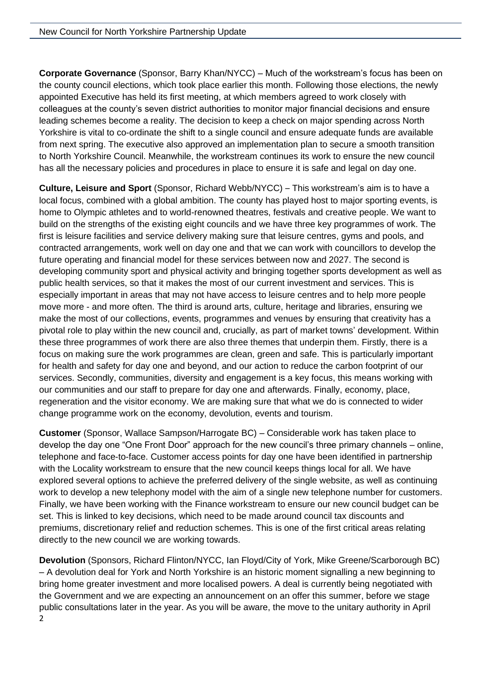**Corporate Governance** (Sponsor, Barry Khan/NYCC) – Much of the workstream's focus has been on the county council elections, which took place earlier this month. Following those elections, the newly appointed Executive has held its first meeting, at which members agreed to work closely with colleagues at the county's seven district authorities to monitor major financial decisions and ensure leading schemes become a reality. The decision to keep a check on major spending across North Yorkshire is vital to co-ordinate the shift to a single council and ensure adequate funds are available from next spring. The executive also approved an implementation plan to secure a smooth transition to North Yorkshire Council. Meanwhile, the workstream continues its work to ensure the new council has all the necessary policies and procedures in place to ensure it is safe and legal on day one.

**Culture, Leisure and Sport** (Sponsor, Richard Webb/NYCC) – This workstream's aim is to have a local focus, combined with a global ambition. The county has played host to major sporting events, is home to Olympic athletes and to world-renowned theatres, festivals and creative people. We want to build on the strengths of the existing eight councils and we have three key programmes of work. The first is leisure facilities and service delivery making sure that leisure centres, gyms and pools, and contracted arrangements, work well on day one and that we can work with councillors to develop the future operating and financial model for these services between now and 2027. The second is developing community sport and physical activity and bringing together sports development as well as public health services, so that it makes the most of our current investment and services. This is especially important in areas that may not have access to leisure centres and to help more people move more - and more often. The third is around arts, culture, heritage and libraries, ensuring we make the most of our collections, events, programmes and venues by ensuring that creativity has a pivotal role to play within the new council and, crucially, as part of market towns' development. Within these three programmes of work there are also three themes that underpin them. Firstly, there is a focus on making sure the work programmes are clean, green and safe. This is particularly important for health and safety for day one and beyond, and our action to reduce the carbon footprint of our services. Secondly, communities, diversity and engagement is a key focus, this means working with our communities and our staff to prepare for day one and afterwards. Finally, economy, place, regeneration and the visitor economy. We are making sure that what we do is connected to wider change programme work on the economy, devolution, events and tourism.

**Customer** (Sponsor, Wallace Sampson/Harrogate BC) – Considerable work has taken place to develop the day one "One Front Door" approach for the new council's three primary channels – online, telephone and face-to-face. Customer access points for day one have been identified in partnership with the Locality workstream to ensure that the new council keeps things local for all. We have explored several options to achieve the preferred delivery of the single website, as well as continuing work to develop a new telephony model with the aim of a single new telephone number for customers. Finally, we have been working with the Finance workstream to ensure our new council budget can be set. This is linked to key decisions, which need to be made around council tax discounts and premiums, discretionary relief and reduction schemes. This is one of the first critical areas relating directly to the new council we are working towards.

2 **Devolution** (Sponsors, Richard Flinton/NYCC, Ian Floyd/City of York, Mike Greene/Scarborough BC) – A devolution deal for York and North Yorkshire is an historic moment signalling a new beginning to bring home greater investment and more localised powers. A deal is currently being negotiated with the Government and we are expecting an announcement on an offer this summer, before we stage public consultations later in the year. As you will be aware, the move to the unitary authority in April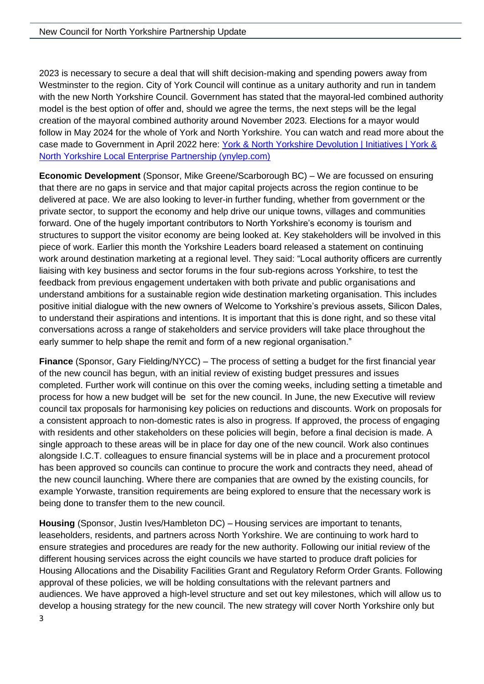2023 is necessary to secure a deal that will shift decision-making and spending powers away from Westminster to the region. City of York Council will continue as a unitary authority and run in tandem with the new North Yorkshire Council. Government has stated that the mayoral-led combined authority model is the best option of offer and, should we agree the terms, the next steps will be the legal creation of the mayoral combined authority around November 2023. Elections for a mayor would follow in May 2024 for the whole of York and North Yorkshire. You can watch and read more about the case made to Government in April 2022 here: York & North Yorkshire Devolution | Initiatives | York & [North Yorkshire Local Enterprise Partnership \(ynylep.com\)](https://www.ynylep.com/ynydevolution)

**Economic Development** (Sponsor, Mike Greene/Scarborough BC) – We are focussed on ensuring that there are no gaps in service and that major capital projects across the region continue to be delivered at pace. We are also looking to lever-in further funding, whether from government or the private sector, to support the economy and help drive our unique towns, villages and communities forward. One of the hugely important contributors to North Yorkshire's economy is tourism and structures to support the visitor economy are being looked at. Key stakeholders will be involved in this piece of work. Earlier this month the Yorkshire Leaders board released a statement on continuing work around destination marketing at a regional level. They said: "Local authority officers are currently liaising with key business and sector forums in the four sub-regions across Yorkshire, to test the feedback from previous engagement undertaken with both private and public organisations and understand ambitions for a sustainable region wide destination marketing organisation. This includes positive initial dialogue with the new owners of Welcome to Yorkshire's previous assets, Silicon Dales, to understand their aspirations and intentions. It is important that this is done right, and so these vital conversations across a range of stakeholders and service providers will take place throughout the early summer to help shape the remit and form of a new regional organisation."

**Finance** (Sponsor, Gary Fielding/NYCC) – The process of setting a budget for the first financial year of the new council has begun, with an initial review of existing budget pressures and issues completed. Further work will continue on this over the coming weeks, including setting a timetable and process for how a new budget will be set for the new council. In June, the new Executive will review council tax proposals for harmonising key policies on reductions and discounts. Work on proposals for a consistent approach to non-domestic rates is also in progress. If approved, the process of engaging with residents and other stakeholders on these policies will begin, before a final decision is made. A single approach to these areas will be in place for day one of the new council. Work also continues alongside I.C.T. colleagues to ensure financial systems will be in place and a procurement protocol has been approved so councils can continue to procure the work and contracts they need, ahead of the new council launching. Where there are companies that are owned by the existing councils, for example Yorwaste, transition requirements are being explored to ensure that the necessary work is being done to transfer them to the new council.

**Housing** (Sponsor, Justin Ives/Hambleton DC) – Housing services are important to tenants, leaseholders, residents, and partners across North Yorkshire. We are continuing to work hard to ensure strategies and procedures are ready for the new authority. Following our initial review of the different housing services across the eight councils we have started to produce draft policies for Housing Allocations and the Disability Facilities Grant and Regulatory Reform Order Grants. Following approval of these policies, we will be holding consultations with the relevant partners and audiences. We have approved a high-level structure and set out key milestones, which will allow us to develop a housing strategy for the new council. The new strategy will cover North Yorkshire only but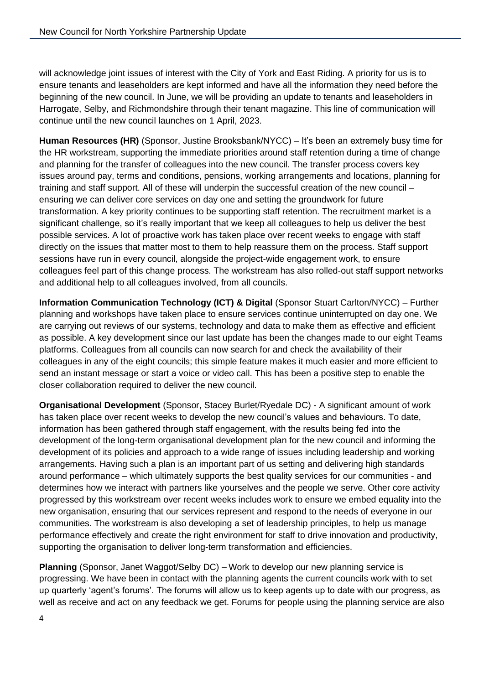will acknowledge joint issues of interest with the City of York and East Riding. A priority for us is to ensure tenants and leaseholders are kept informed and have all the information they need before the beginning of the new council. In June, we will be providing an update to tenants and leaseholders in Harrogate, Selby, and Richmondshire through their tenant magazine. This line of communication will continue until the new council launches on 1 April, 2023.

**Human Resources (HR)** (Sponsor, Justine Brooksbank/NYCC) – It's been an extremely busy time for the HR workstream, supporting the immediate priorities around staff retention during a time of change and planning for the transfer of colleagues into the new council. The transfer process covers key issues around pay, terms and conditions, pensions, working arrangements and locations, planning for training and staff support. All of these will underpin the successful creation of the new council – ensuring we can deliver core services on day one and setting the groundwork for future transformation. A key priority continues to be supporting staff retention. The recruitment market is a significant challenge, so it's really important that we keep all colleagues to help us deliver the best possible services. A lot of proactive work has taken place over recent weeks to engage with staff directly on the issues that matter most to them to help reassure them on the process. Staff support sessions have run in every council, alongside the project-wide engagement work, to ensure colleagues feel part of this change process. The workstream has also rolled-out staff support networks and additional help to all colleagues involved, from all councils.

**Information Communication Technology (ICT) & Digital** (Sponsor Stuart Carlton/NYCC) – Further planning and workshops have taken place to ensure services continue uninterrupted on day one. We are carrying out reviews of our systems, technology and data to make them as effective and efficient as possible. A key development since our last update has been the changes made to our eight Teams platforms. Colleagues from all councils can now search for and check the availability of their colleagues in any of the eight councils; this simple feature makes it much easier and more efficient to send an instant message or start a voice or video call. This has been a positive step to enable the closer collaboration required to deliver the new council.

**Organisational Development** (Sponsor, Stacey Burlet/Ryedale DC) - A significant amount of work has taken place over recent weeks to develop the new council's values and behaviours. To date, information has been gathered through staff engagement, with the results being fed into the development of the long-term organisational development plan for the new council and informing the development of its policies and approach to a wide range of issues including leadership and working arrangements. Having such a plan is an important part of us setting and delivering high standards around performance – which ultimately supports the best quality services for our communities - and determines how we interact with partners like yourselves and the people we serve. Other core activity progressed by this workstream over recent weeks includes work to ensure we embed equality into the new organisation, ensuring that our services represent and respond to the needs of everyone in our communities. The workstream is also developing a set of leadership principles, to help us manage performance effectively and create the right environment for staff to drive innovation and productivity, supporting the organisation to deliver long-term transformation and efficiencies.

**Planning** (Sponsor, Janet Waggot/Selby DC) – Work to develop our new planning service is progressing. We have been in contact with the planning agents the current councils work with to set up quarterly 'agent's forums'. The forums will allow us to keep agents up to date with our progress, as well as receive and act on any feedback we get. Forums for people using the planning service are also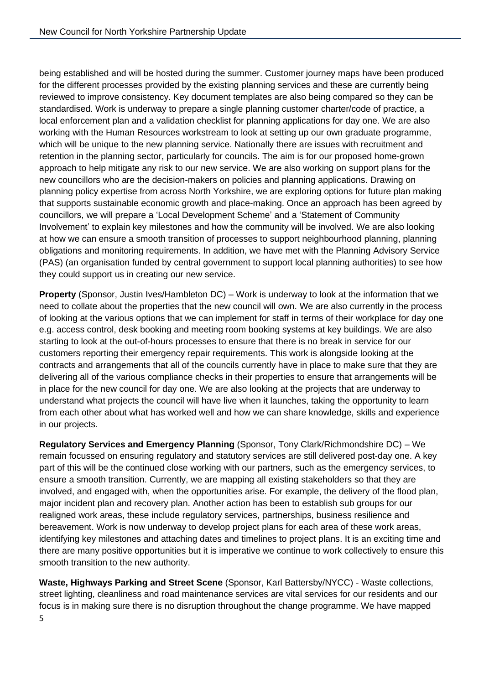being established and will be hosted during the summer. Customer journey maps have been produced for the different processes provided by the existing planning services and these are currently being reviewed to improve consistency. Key document templates are also being compared so they can be standardised. Work is underway to prepare a single planning customer charter/code of practice, a local enforcement plan and a validation checklist for planning applications for day one. We are also working with the Human Resources workstream to look at setting up our own graduate programme, which will be unique to the new planning service. Nationally there are issues with recruitment and retention in the planning sector, particularly for councils. The aim is for our proposed home-grown approach to help mitigate any risk to our new service. We are also working on support plans for the new councillors who are the decision-makers on policies and planning applications. Drawing on planning policy expertise from across North Yorkshire, we are exploring options for future plan making that supports sustainable economic growth and place-making. Once an approach has been agreed by councillors, we will prepare a 'Local Development Scheme' and a 'Statement of Community Involvement' to explain key milestones and how the community will be involved. We are also looking at how we can ensure a smooth transition of processes to support neighbourhood planning, planning obligations and monitoring requirements. In addition, we have met with the Planning Advisory Service (PAS) (an organisation funded by central government to support local planning authorities) to see how they could support us in creating our new service.

**Property** (Sponsor, Justin Ives/Hambleton DC) – Work is underway to look at the information that we need to collate about the properties that the new council will own. We are also currently in the process of looking at the various options that we can implement for staff in terms of their workplace for day one e.g. access control, desk booking and meeting room booking systems at key buildings. We are also starting to look at the out-of-hours processes to ensure that there is no break in service for our customers reporting their emergency repair requirements. This work is alongside looking at the contracts and arrangements that all of the councils currently have in place to make sure that they are delivering all of the various compliance checks in their properties to ensure that arrangements will be in place for the new council for day one. We are also looking at the projects that are underway to understand what projects the council will have live when it launches, taking the opportunity to learn from each other about what has worked well and how we can share knowledge, skills and experience in our projects.

**Regulatory Services and Emergency Planning** (Sponsor, Tony Clark/Richmondshire DC) – We remain focussed on ensuring regulatory and statutory services are still delivered post-day one. A key part of this will be the continued close working with our partners, such as the emergency services, to ensure a smooth transition. Currently, we are mapping all existing stakeholders so that they are involved, and engaged with, when the opportunities arise. For example, the delivery of the flood plan, major incident plan and recovery plan. Another action has been to establish sub groups for our realigned work areas, these include regulatory services, partnerships, business resilience and bereavement. Work is now underway to develop project plans for each area of these work areas, identifying key milestones and attaching dates and timelines to project plans. It is an exciting time and there are many positive opportunities but it is imperative we continue to work collectively to ensure this smooth transition to the new authority.

**Waste, Highways Parking and Street Scene** (Sponsor, Karl Battersby/NYCC) - Waste collections, street lighting, cleanliness and road maintenance services are vital services for our residents and our focus is in making sure there is no disruption throughout the change programme. We have mapped